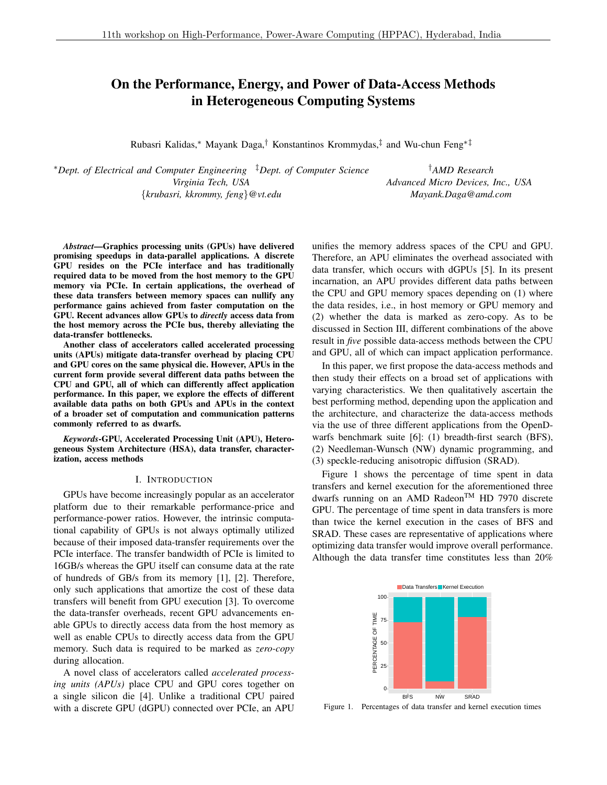# On the Performance, Energy, and Power of Data-Access Methods in Heterogeneous Computing Systems

Rubasri Kalidas,<sup>∗</sup> Mayank Daga,† Konstantinos Krommydas,‡ and Wu-chun Feng∗‡

<sup>∗</sup>*Dept. of Electrical and Computer Engineering* ‡*Dept. of Computer Science Virginia Tech, USA* {*krubasri, kkrommy, feng*}*@vt.edu*

†*AMD Research Advanced Micro Devices, Inc., USA Mayank.Daga@amd.com*

*Abstract*—Graphics processing units (GPUs) have delivered promising speedups in data-parallel applications. A discrete GPU resides on the PCIe interface and has traditionally required data to be moved from the host memory to the GPU memory via PCIe. In certain applications, the overhead of these data transfers between memory spaces can nullify any performance gains achieved from faster computation on the GPU. Recent advances allow GPUs to *directly* access data from the host memory across the PCIe bus, thereby alleviating the data-transfer bottlenecks.

Another class of accelerators called accelerated processing units (APUs) mitigate data-transfer overhead by placing CPU and GPU cores on the same physical die. However, APUs in the current form provide several different data paths between the CPU and GPU, all of which can differently affect application performance. In this paper, we explore the effects of different available data paths on both GPUs and APUs in the context of a broader set of computation and communication patterns commonly referred to as dwarfs.

*Keywords*-GPU, Accelerated Processing Unit (APU), Heterogeneous System Architecture (HSA), data transfer, characterization, access methods

#### I. INTRODUCTION

GPUs have become increasingly popular as an accelerator platform due to their remarkable performance-price and performance-power ratios. However, the intrinsic computational capability of GPUs is not always optimally utilized because of their imposed data-transfer requirements over the PCIe interface. The transfer bandwidth of PCIe is limited to 16GB/s whereas the GPU itself can consume data at the rate of hundreds of GB/s from its memory [1], [2]. Therefore, only such applications that amortize the cost of these data transfers will benefit from GPU execution [3]. To overcome the data-transfer overheads, recent GPU advancements enable GPUs to directly access data from the host memory as well as enable CPUs to directly access data from the GPU memory. Such data is required to be marked as *zero-copy* during allocation.

A novel class of accelerators called *accelerated processing units (APUs)* place CPU and GPU cores together on a single silicon die [4]. Unlike a traditional CPU paired with a discrete GPU (dGPU) connected over PCIe, an APU unifies the memory address spaces of the CPU and GPU. Therefore, an APU eliminates the overhead associated with data transfer, which occurs with dGPUs [5]. In its present incarnation, an APU provides different data paths between the CPU and GPU memory spaces depending on (1) where the data resides, i.e., in host memory or GPU memory and (2) whether the data is marked as zero-copy. As to be discussed in Section III, different combinations of the above result in *five* possible data-access methods between the CPU and GPU, all of which can impact application performance.

In this paper, we first propose the data-access methods and then study their effects on a broad set of applications with varying characteristics. We then qualitatively ascertain the best performing method, depending upon the application and the architecture, and characterize the data-access methods via the use of three different applications from the OpenDwarfs benchmark suite [6]: (1) breadth-first search (BFS), (2) Needleman-Wunsch (NW) dynamic programming, and (3) speckle-reducing anisotropic diffusion (SRAD).

Figure 1 shows the percentage of time spent in data transfers and kernel execution for the aforementioned three dwarfs running on an AMD Radeon<sup>TM</sup> HD 7970 discrete GPU. The percentage of time spent in data transfers is more than twice the kernel execution in the cases of BFS and SRAD. These cases are representative of applications where optimizing data transfer would improve overall performance. Although the data transfer time constitutes less than 20%



Figure 1. Percentages of data transfer and kernel execution times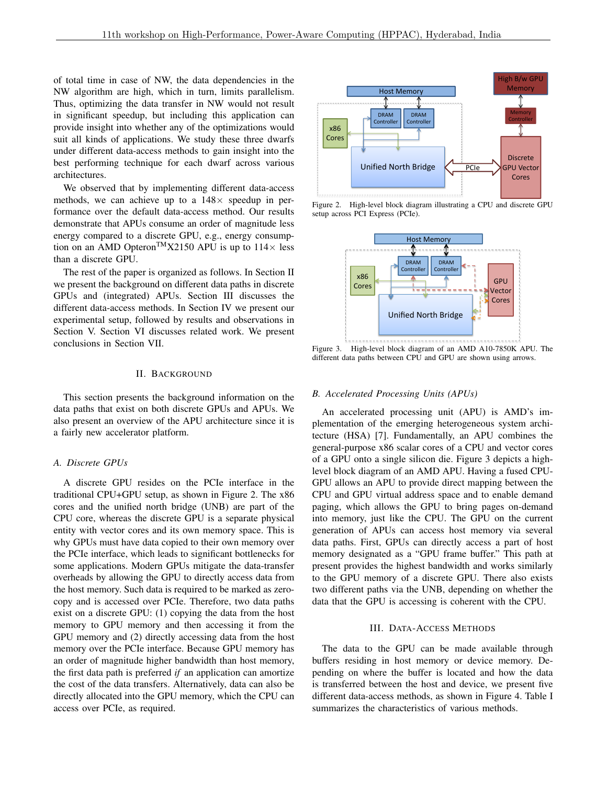of total time in case of NW, the data dependencies in the NW algorithm are high, which in turn, limits parallelism. Thus, optimizing the data transfer in NW would not result in significant speedup, but including this application can provide insight into whether any of the optimizations would suit all kinds of applications. We study these three dwarfs under different data-access methods to gain insight into the best performing technique for each dwarf across various architectures.

We observed that by implementing different data-access methods, we can achieve up to a  $148\times$  speedup in performance over the default data-access method. Our results demonstrate that APUs consume an order of magnitude less energy compared to a discrete GPU, e.g., energy consumption on an AMD Opteron<sup>TM</sup>X2150 APU is up to  $114\times$  less than a discrete GPU.

The rest of the paper is organized as follows. In Section II we present the background on different data paths in discrete GPUs and (integrated) APUs. Section III discusses the different data-access methods. In Section IV we present our experimental setup, followed by results and observations in Section V. Section VI discusses related work. We present conclusions in Section VII.

#### II. BACKGROUND

This section presents the background information on the data paths that exist on both discrete GPUs and APUs. We also present an overview of the APU architecture since it is a fairly new accelerator platform.

## *A. Discrete GPUs*

A discrete GPU resides on the PCIe interface in the traditional CPU+GPU setup, as shown in Figure 2. The x86 cores and the unified north bridge (UNB) are part of the CPU core, whereas the discrete GPU is a separate physical entity with vector cores and its own memory space. This is why GPUs must have data copied to their own memory over the PCIe interface, which leads to significant bottlenecks for some applications. Modern GPUs mitigate the data-transfer overheads by allowing the GPU to directly access data from the host memory. Such data is required to be marked as zerocopy and is accessed over PCIe. Therefore, two data paths exist on a discrete GPU: (1) copying the data from the host memory to GPU memory and then accessing it from the GPU memory and (2) directly accessing data from the host memory over the PCIe interface. Because GPU memory has an order of magnitude higher bandwidth than host memory, the first data path is preferred *if* an application can amortize the cost of the data transfers. Alternatively, data can also be directly allocated into the GPU memory, which the CPU can access over PCIe, as required.



Figure 2. High-level block diagram illustrating a CPU and discrete GPU setup across PCI Express (PCIe).



Figure 3. High-level block diagram of an AMD A10-7850K APU. The different data paths between CPU and GPU are shown using arrows.

## *B. Accelerated Processing Units (APUs)*

An accelerated processing unit (APU) is AMD's implementation of the emerging heterogeneous system architecture (HSA) [7]. Fundamentally, an APU combines the general-purpose x86 scalar cores of a CPU and vector cores of a GPU onto a single silicon die. Figure 3 depicts a highlevel block diagram of an AMD APU. Having a fused CPU-GPU allows an APU to provide direct mapping between the CPU and GPU virtual address space and to enable demand paging, which allows the GPU to bring pages on-demand into memory, just like the CPU. The GPU on the current generation of APUs can access host memory via several data paths. First, GPUs can directly access a part of host memory designated as a "GPU frame buffer." This path at present provides the highest bandwidth and works similarly to the GPU memory of a discrete GPU. There also exists two different paths via the UNB, depending on whether the data that the GPU is accessing is coherent with the CPU.

#### III. DATA-ACCESS METHODS

The data to the GPU can be made available through buffers residing in host memory or device memory. Depending on where the buffer is located and how the data is transferred between the host and device, we present five different data-access methods, as shown in Figure 4. Table I summarizes the characteristics of various methods.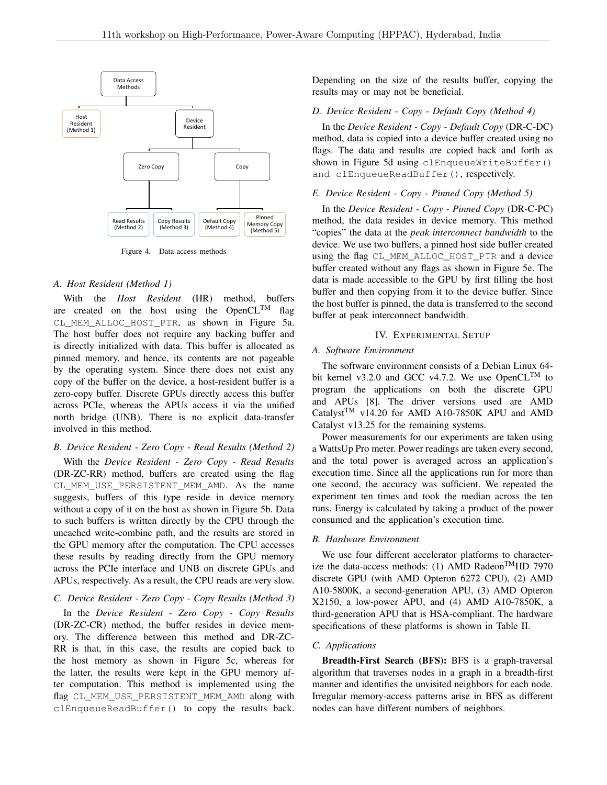

Figure 4. Data-access methods

#### *A. Host Resident (Method 1)*

With the *Host Resident* (HR) method, buffers are created on the host using the OpenCL<sup>TM</sup> flag CL\_MEM\_ALLOC\_HOST\_PTR, as shown in Figure 5a. The host buffer does not require any backing buffer and is directly initialized with data. This buffer is allocated as pinned memory, and hence, its contents are not pageable by the operating system. Since there does not exist any copy of the buffer on the device, a host-resident buffer is a zero-copy buffer. Discrete GPUs directly access this buffer across PCIe, whereas the APUs access it via the unified north bridge (UNB). There is no explicit data-transfer involved in this method.

## *B. Device Resident - Zero Copy - Read Results (Method 2)*

With the *Device Resident - Zero Copy - Read Results* (DR-ZC-RR) method, buffers are created using the flag CL\_MEM\_USE\_PERSISTENT\_MEM\_AMD. As the name suggests, buffers of this type reside in device memory without a copy of it on the host as shown in Figure 5b. Data to such buffers is written directly by the CPU through the uncached write-combine path, and the results are stored in the GPU memory after the computation. The CPU accesses these results by reading directly from the GPU memory across the PCIe interface and UNB on discrete GPUs and APUs, respectively. As a result, the CPU reads are very slow.

## *C. Device Resident - Zero Copy - Copy Results (Method 3)*

In the *Device Resident - Zero Copy - Copy Results* (DR-ZC-CR) method, the buffer resides in device memory. The difference between this method and DR-ZC-RR is that, in this case, the results are copied back to the host memory as shown in Figure 5c, whereas for the latter, the results were kept in the GPU memory after computation. This method is implemented using the flag CL\_MEM\_USE\_PERSISTENT\_MEM\_AMD\_along with clEnqueueReadBuffer() to copy the results back. Depending on the size of the results buffer, copying the results may or may not be beneficial.

#### *D. Device Resident - Copy - Default Copy (Method 4)*

In the *Device Resident - Copy - Default Copy* (DR-C-DC) method, data is copied into a device buffer created using no flags. The data and results are copied back and forth as shown in Figure 5d using clEnqueueWriteBuffer() and clEnqueueReadBuffer(), respectively.

#### *E. Device Resident - Copy - Pinned Copy (Method 5)*

In the *Device Resident - Copy - Pinned Copy* (DR-C-PC) method, the data resides in device memory. This method "copies" the data at the *peak interconnect bandwidth* to the device. We use two buffers, a pinned host side buffer created using the flag CL\_MEM\_ALLOC\_HOST\_PTR and a device buffer created without any flags as shown in Figure 5e. The data is made accessible to the GPU by first filling the host buffer and then copying from it to the device buffer. Since the host buffer is pinned, the data is transferred to the second buffer at peak interconnect bandwidth.

#### IV. EXPERIMENTAL SETUP

## *A. Software Environment*

The software environment consists of a Debian Linux 64 bit kernel v3.2.0 and GCC v4.7.2. We use OpenCL<sup>TM</sup> to program the applications on both the discrete GPU and APUs [8]. The driver versions used are AMD Catalyst<sup>TM</sup> v14.20 for AMD A10-7850K APU and AMD Catalyst v13.25 for the remaining systems.

Power measurements for our experiments are taken using a WattsUp Pro meter. Power readings are taken every second, and the total power is averaged across an application's execution time. Since all the applications run for more than one second, the accuracy was sufficient. We repeated the experiment ten times and took the median across the ten runs. Energy is calculated by taking a product of the power consumed and the application's execution time.

## *B. Hardware Environment*

We use four different accelerator platforms to characterize the data-access methods: (1) AMD Radeon<sup>TM</sup>HD 7970 discrete GPU (with AMD Opteron 6272 CPU), (2) AMD A10-5800K, a second-generation APU, (3) AMD Opteron X2150, a low-power APU, and (4) AMD A10-7850K, a third-generation APU that is HSA-compliant. The hardware specifications of these platforms is shown in Table II.

## *C. Applications*

Breadth-First Search (BFS): BFS is a graph-traversal algorithm that traverses nodes in a graph in a breadth-first manner and identifies the unvisited neighbors for each node. Irregular memory-access patterns arise in BFS as different nodes can have different numbers of neighbors.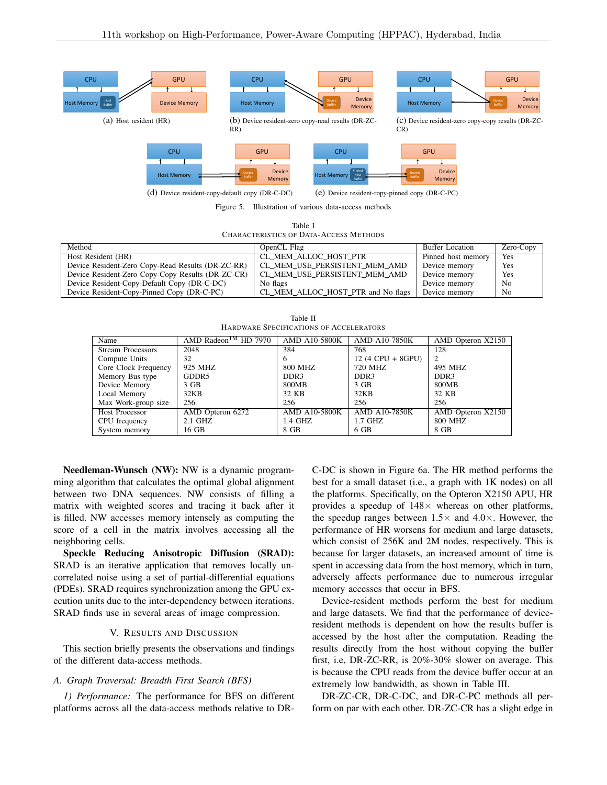

Figure 5. Illustration of various data-access methods

| Table I                                |  |  |  |  |  |
|----------------------------------------|--|--|--|--|--|
| CHARACTERISTICS OF DATA-ACCESS METHODS |  |  |  |  |  |

| Method                                            | OpenCL Flag                        | <b>Buffer Location</b> | Zero-Copy      |
|---------------------------------------------------|------------------------------------|------------------------|----------------|
| Host Resident (HR)                                | CL MEM ALLOC HOST PTR              | Pinned host memory     | Yes            |
| Device Resident-Zero Copy-Read Results (DR-ZC-RR) | CL_MEM_USE_PERSISTENT_MEM_AMD      | Device memory          | Yes            |
| Device Resident-Zero Copy-Copy Results (DR-ZC-CR) | CL MEM USE PERSISTENT MEM AMD      | Device memory          | Yes            |
| Device Resident-Copy-Default Copy (DR-C-DC)       | No flags                           | Device memory          | N <sub>0</sub> |
| Device Resident-Copy-Pinned Copy (DR-C-PC)        | CL_MEM_ALLOC_HOST_PTR and No flags | Device memory          | N <sub>0</sub> |

Table II HARDWARE SPECIFICATIONS OF ACCELERATORS

| Name                     | AMD Radeon <sup>TM</sup> HD 7970 | AMD A10-5800K        | <b>AMD A10-7850K</b> | AMD Opteron X2150 |
|--------------------------|----------------------------------|----------------------|----------------------|-------------------|
| <b>Stream Processors</b> | 2048                             | 384                  | 768                  | 128               |
| Compute Units            | 32                               | 6                    | $12(4$ CPU + 8GPU)   |                   |
| Core Clock Frequency     | 925 MHZ                          | 800 MHZ              | 720 MHZ              | 495 MHZ           |
| Memory Bus type          | GDDR5                            | DDR3                 | DDR3                 | DDR3              |
| Device Memory            | $3$ GB                           | 800MB                | 3 GB                 | 800MB             |
| Local Memory             | 32KB                             | 32 KB                | 32KB                 | 32 KB             |
| Max Work-group size      | 256                              | 256                  | 256                  | 256               |
| <b>Host Processor</b>    | AMD Opteron 6272                 | <b>AMD A10-5800K</b> | <b>AMD A10-7850K</b> | AMD Opteron X2150 |
| CPU frequency            | $2.1$ GHZ                        | 1.4 GHZ              | 1.7 GHZ              | 800 MHZ           |
| System memory            | 16 GB                            | 8 GB                 | 6 GB                 | 8 GB              |

Needleman-Wunsch (NW): NW is a dynamic programming algorithm that calculates the optimal global alignment between two DNA sequences. NW consists of filling a matrix with weighted scores and tracing it back after it is filled. NW accesses memory intensely as computing the score of a cell in the matrix involves accessing all the neighboring cells.

Speckle Reducing Anisotropic Diffusion (SRAD): SRAD is an iterative application that removes locally uncorrelated noise using a set of partial-differential equations (PDEs). SRAD requires synchronization among the GPU execution units due to the inter-dependency between iterations. SRAD finds use in several areas of image compression.

## V. RESULTS AND DISCUSSION

This section briefly presents the observations and findings of the different data-access methods.

## *A. Graph Traversal: Breadth First Search (BFS)*

*1) Performance:* The performance for BFS on different platforms across all the data-access methods relative to DR- C-DC is shown in Figure 6a. The HR method performs the best for a small dataset (i.e., a graph with 1K nodes) on all the platforms. Specifically, on the Opteron X2150 APU, HR provides a speedup of  $148\times$  whereas on other platforms, the speedup ranges between  $1.5 \times$  and  $4.0 \times$ . However, the performance of HR worsens for medium and large datasets, which consist of 256K and 2M nodes, respectively. This is because for larger datasets, an increased amount of time is spent in accessing data from the host memory, which in turn, adversely affects performance due to numerous irregular memory accesses that occur in BFS.

Device-resident methods perform the best for medium and large datasets. We find that the performance of deviceresident methods is dependent on how the results buffer is accessed by the host after the computation. Reading the results directly from the host without copying the buffer first, i.e, DR-ZC-RR, is 20%-30% slower on average. This is because the CPU reads from the device buffer occur at an extremely low bandwidth, as shown in Table III.

DR-ZC-CR, DR-C-DC, and DR-C-PC methods all perform on par with each other. DR-ZC-CR has a slight edge in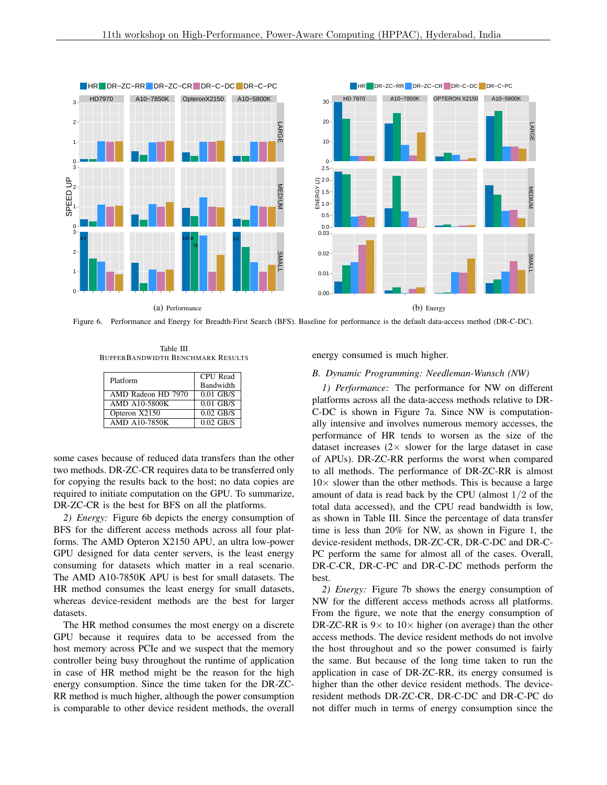

Table III

BUFFERBANDWIDTH BENCHMARK RESULTS

| Platform             | <b>CPU</b> Read<br>Bandwidth |
|----------------------|------------------------------|
| AMD Radeon HD 7970   | $0.01$ GB/S                  |
| AMD $A10-5800K$      | $0.01$ GB/S                  |
| Opteron X2150        | $0.02$ GB/S                  |
| <b>AMD A10-7850K</b> | 0.02 GB/S                    |

some cases because of reduced data transfers than the other two methods. DR-ZC-CR requires data to be transferred only for copying the results back to the host; no data copies are required to initiate computation on the GPU. To summarize, DR-ZC-CR is the best for BFS on all the platforms.

*2) Energy:* Figure 6b depicts the energy consumption of BFS for the different access methods across all four platforms. The AMD Opteron X2150 APU, an ultra low-power GPU designed for data center servers, is the least energy consuming for datasets which matter in a real scenario. The AMD A10-7850K APU is best for small datasets. The HR method consumes the least energy for small datasets, whereas device-resident methods are the best for larger datasets.

The HR method consumes the most energy on a discrete GPU because it requires data to be accessed from the host memory across PCIe and we suspect that the memory controller being busy throughout the runtime of application in case of HR method might be the reason for the high energy consumption. Since the time taken for the DR-ZC-RR method is much higher, although the power consumption is comparable to other device resident methods, the overall energy consumed is much higher.

## *B. Dynamic Programming: Needleman-Wunsch (NW)*

*1) Performance:* The performance for NW on different platforms across all the data-access methods relative to DR-C-DC is shown in Figure 7a. Since NW is computationally intensive and involves numerous memory accesses, the performance of HR tends to worsen as the size of the dataset increases  $(2 \times$  slower for the large dataset in case of APUs). DR-ZC-RR performs the worst when compared to all methods. The performance of DR-ZC-RR is almost  $10\times$  slower than the other methods. This is because a large amount of data is read back by the CPU (almost  $1/2$  of the total data accessed), and the CPU read bandwidth is low, as shown in Table III. Since the percentage of data transfer time is less than 20% for NW, as shown in Figure 1, the device-resident methods, DR-ZC-CR, DR-C-DC and DR-C-PC perform the same for almost all of the cases. Overall, DR-C-CR, DR-C-PC and DR-C-DC methods perform the best.

*2) Energy:* Figure 7b shows the energy consumption of NW for the different access methods across all platforms. From the figure, we note that the energy consumption of DR-ZC-RR is  $9 \times$  to  $10 \times$  higher (on average) than the other access methods. The device resident methods do not involve the host throughout and so the power consumed is fairly the same. But because of the long time taken to run the application in case of DR-ZC-RR, its energy consumed is higher than the other device resident methods. The deviceresident methods DR-ZC-CR, DR-C-DC and DR-C-PC do not differ much in terms of energy consumption since the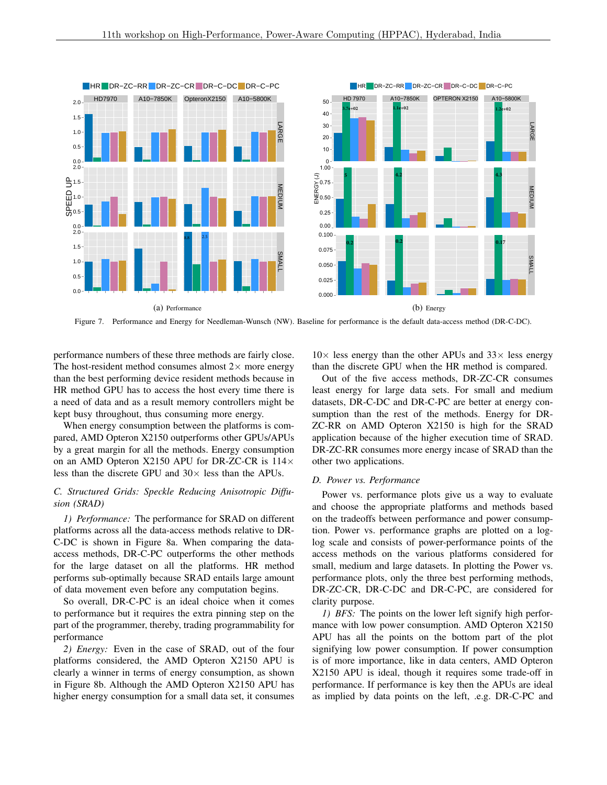

Figure 7. Performance and Energy for Needleman-Wunsch (NW). Baseline for performance is the default data-access method (DR-C-DC).

performance numbers of these three methods are fairly close. The host-resident method consumes almost  $2\times$  more energy than the best performing device resident methods because in HR method GPU has to access the host every time there is a need of data and as a result memory controllers might be kept busy throughout, thus consuming more energy.

When energy consumption between the platforms is compared, AMD Opteron X2150 outperforms other GPUs/APUs by a great margin for all the methods. Energy consumption on an AMD Opteron X2150 APU for DR-ZC-CR is 114× less than the discrete GPU and  $30 \times$  less than the APUs.

# *C. Structured Grids: Speckle Reducing Anisotropic Diffusion (SRAD)*

*1) Performance:* The performance for SRAD on different platforms across all the data-access methods relative to DR-C-DC is shown in Figure 8a. When comparing the dataaccess methods, DR-C-PC outperforms the other methods for the large dataset on all the platforms. HR method performs sub-optimally because SRAD entails large amount of data movement even before any computation begins.

So overall, DR-C-PC is an ideal choice when it comes to performance but it requires the extra pinning step on the part of the programmer, thereby, trading programmability for performance

*2) Energy:* Even in the case of SRAD, out of the four platforms considered, the AMD Opteron X2150 APU is clearly a winner in terms of energy consumption, as shown in Figure 8b. Although the AMD Opteron X2150 APU has higher energy consumption for a small data set, it consumes

 $10\times$  less energy than the other APUs and  $33\times$  less energy than the discrete GPU when the HR method is compared.

Out of the five access methods, DR-ZC-CR consumes least energy for large data sets. For small and medium datasets, DR-C-DC and DR-C-PC are better at energy consumption than the rest of the methods. Energy for DR-ZC-RR on AMD Opteron X2150 is high for the SRAD application because of the higher execution time of SRAD. DR-ZC-RR consumes more energy incase of SRAD than the other two applications.

#### *D. Power vs. Performance*

Power vs. performance plots give us a way to evaluate and choose the appropriate platforms and methods based on the tradeoffs between performance and power consumption. Power vs. performance graphs are plotted on a loglog scale and consists of power-performance points of the access methods on the various platforms considered for small, medium and large datasets. In plotting the Power vs. performance plots, only the three best performing methods, DR-ZC-CR, DR-C-DC and DR-C-PC, are considered for clarity purpose.

*1) BFS:* The points on the lower left signify high performance with low power consumption. AMD Opteron X2150 APU has all the points on the bottom part of the plot signifying low power consumption. If power consumption is of more importance, like in data centers, AMD Opteron X2150 APU is ideal, though it requires some trade-off in performance. If performance is key then the APUs are ideal as implied by data points on the left, .e.g. DR-C-PC and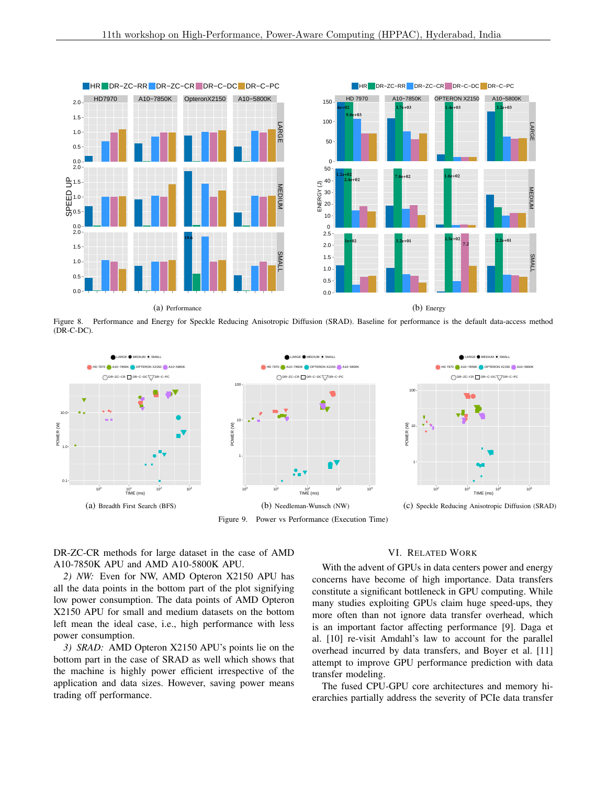

Figure 8. Performance and Energy for Speckle Reducing Anisotropic Diffusion (SRAD). Baseline for performance is the default data-access method (DR-C-DC).



DR-ZC-CR methods for large dataset in the case of AMD A10-7850K APU and AMD A10-5800K APU.

*2) NW:* Even for NW, AMD Opteron X2150 APU has all the data points in the bottom part of the plot signifying low power consumption. The data points of AMD Opteron X2150 APU for small and medium datasets on the bottom left mean the ideal case, i.e., high performance with less power consumption.

*3) SRAD:* AMD Opteron X2150 APU's points lie on the bottom part in the case of SRAD as well which shows that the machine is highly power efficient irrespective of the application and data sizes. However, saving power means trading off performance.

#### VI. RELATED WORK

With the advent of GPUs in data centers power and energy concerns have become of high importance. Data transfers constitute a significant bottleneck in GPU computing. While many studies exploiting GPUs claim huge speed-ups, they more often than not ignore data transfer overhead, which is an important factor affecting performance [9]. Daga et al. [10] re-visit Amdahl's law to account for the parallel overhead incurred by data transfers, and Boyer et al. [11] attempt to improve GPU performance prediction with data transfer modeling.

The fused CPU-GPU core architectures and memory hierarchies partially address the severity of PCIe data transfer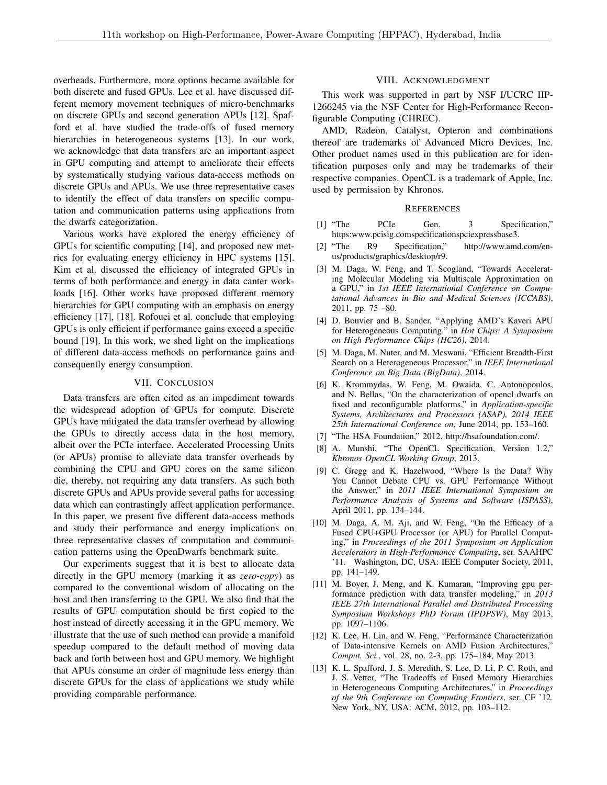overheads. Furthermore, more options became available for both discrete and fused GPUs. Lee et al. have discussed different memory movement techniques of micro-benchmarks on discrete GPUs and second generation APUs [12]. Spafford et al. have studied the trade-offs of fused memory hierarchies in heterogeneous systems [13]. In our work, we acknowledge that data transfers are an important aspect in GPU computing and attempt to ameliorate their effects by systematically studying various data-access methods on discrete GPUs and APUs. We use three representative cases to identify the effect of data transfers on specific computation and communication patterns using applications from the dwarfs categorization.

Various works have explored the energy efficiency of GPUs for scientific computing [14], and proposed new metrics for evaluating energy efficiency in HPC systems [15]. Kim et al. discussed the efficiency of integrated GPUs in terms of both performance and energy in data canter workloads [16]. Other works have proposed different memory hierarchies for GPU computing with an emphasis on energy efficiency [17], [18]. Rofouei et al. conclude that employing GPUs is only efficient if performance gains exceed a specific bound [19]. In this work, we shed light on the implications of different data-access methods on performance gains and consequently energy consumption.

## VII. CONCLUSION

Data transfers are often cited as an impediment towards the widespread adoption of GPUs for compute. Discrete GPUs have mitigated the data transfer overhead by allowing the GPUs to directly access data in the host memory, albeit over the PCIe interface. Accelerated Processing Units (or APUs) promise to alleviate data transfer overheads by combining the CPU and GPU cores on the same silicon die, thereby, not requiring any data transfers. As such both discrete GPUs and APUs provide several paths for accessing data which can contrastingly affect application performance. In this paper, we present five different data-access methods and study their performance and energy implications on three representative classes of computation and communication patterns using the OpenDwarfs benchmark suite.

Our experiments suggest that it is best to allocate data directly in the GPU memory (marking it as *zero-copy*) as compared to the conventional wisdom of allocating on the host and then transferring to the GPU. We also find that the results of GPU computation should be first copied to the host instead of directly accessing it in the GPU memory. We illustrate that the use of such method can provide a manifold speedup compared to the default method of moving data back and forth between host and GPU memory. We highlight that APUs consume an order of magnitude less energy than discrete GPUs for the class of applications we study while providing comparable performance.

#### VIII. ACKNOWLEDGMENT

This work was supported in part by NSF I/UCRC IIP-1266245 via the NSF Center for High-Performance Reconfigurable Computing (CHREC).

AMD, Radeon, Catalyst, Opteron and combinations thereof are trademarks of Advanced Micro Devices, Inc. Other product names used in this publication are for identification purposes only and may be trademarks of their respective companies. OpenCL is a trademark of Apple, Inc. used by permission by Khronos.

#### **REFERENCES**

- [1] "The PCIe Gen. 3 Specification," https:www.pcisig.comspecificationspciexpressbase3.
- [2] "The R9 Specification," http://www.amd.com/enus/products/graphics/desktop/r9.
- [3] M. Daga, W. Feng, and T. Scogland, "Towards Accelerating Molecular Modeling via Multiscale Approximation on a GPU," in *1st IEEE International Conference on Computational Advances in Bio and Medical Sciences (ICCABS)*, 2011, pp. 75 –80.
- [4] D. Bouvier and B. Sander, "Applying AMD's Kaveri APU for Heterogeneous Computing." in *Hot Chips: A Symposium on High Performance Chips (HC26)*, 2014.
- [5] M. Daga, M. Nuter, and M. Meswani, "Efficient Breadth-First Search on a Heterogeneous Processor," in *IEEE International Conference on Big Data (BigData)*, 2014.
- [6] K. Krommydas, W. Feng, M. Owaida, C. Antonopoulos, and N. Bellas, "On the characterization of opencl dwarfs on fixed and reconfigurable platforms," in *Application-specific Systems, Architectures and Processors (ASAP), 2014 IEEE 25th International Conference on*, June 2014, pp. 153–160.
- [7] "The HSA Foundation," 2012, http://hsafoundation.com/.
- [8] A. Munshi, "The OpenCL Specification, Version 1.2," *Khronos OpenCL Working Group*, 2013.
- [9] C. Gregg and K. Hazelwood, "Where Is the Data? Why You Cannot Debate CPU vs. GPU Performance Without the Answer," in *2011 IEEE International Symposium on Performance Analysis of Systems and Software (ISPASS)*, April 2011, pp. 134–144.
- [10] M. Daga, A. M. Aji, and W. Feng, "On the Efficacy of a Fused CPU+GPU Processor (or APU) for Parallel Computing," in *Proceedings of the 2011 Symposium on Application Accelerators in High-Performance Computing*, ser. SAAHPC '11. Washington, DC, USA: IEEE Computer Society, 2011, pp. 141–149.
- [11] M. Boyer, J. Meng, and K. Kumaran, "Improving gpu performance prediction with data transfer modeling," in *2013 IEEE 27th International Parallel and Distributed Processing Symposium Workshops PhD Forum (IPDPSW)*, May 2013, pp. 1097–1106.
- [12] K. Lee, H. Lin, and W. Feng, "Performance Characterization of Data-intensive Kernels on AMD Fusion Architectures," *Comput. Sci.*, vol. 28, no. 2-3, pp. 175–184, May 2013.
- [13] K. L. Spafford, J. S. Meredith, S. Lee, D. Li, P. C. Roth, and J. S. Vetter, "The Tradeoffs of Fused Memory Hierarchies in Heterogeneous Computing Architectures," in *Proceedings of the 9th Conference on Computing Frontiers*, ser. CF '12. New York, NY, USA: ACM, 2012, pp. 103–112.